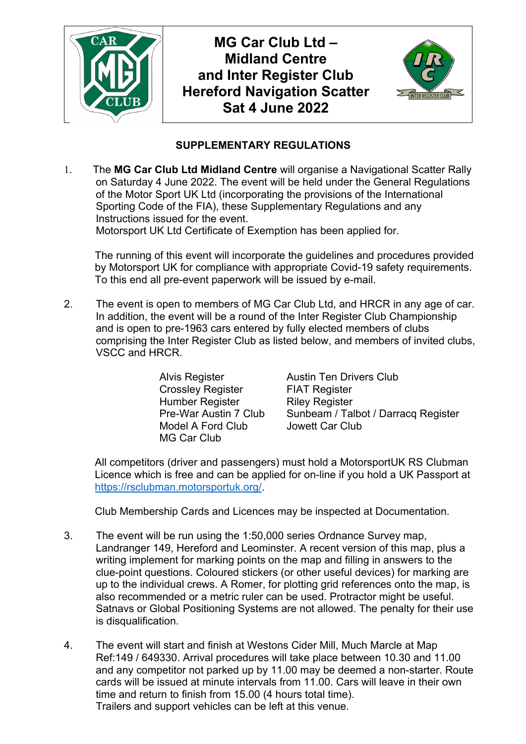

**MG Car Club Ltd – Midland Centre and Inter Register Club Hereford Navigation Scatter Sat 4 June 2022**



## **SUPPLEMENTARY REGULATIONS**

1. The **MG Car Club Ltd Midland Centre** will organise a Navigational Scatter Rally on Saturday 4 June 2022. The event will be held under the General Regulations of the Motor Sport UK Ltd (incorporating the provisions of the International Sporting Code of the FIA), these Supplementary Regulations and any Instructions issued for the event. Motorsport UK Ltd Certificate of Exemption has been applied for.

The running of this event will incorporate the guidelines and procedures provided by Motorsport UK for compliance with appropriate Covid-19 safety requirements. To this end all pre-event paperwork will be issued by e-mail.

2. The event is open to members of MG Car Club Ltd, and HRCR in any age of car. In addition, the event will be a round of the Inter Register Club Championship and is open to pre-1963 cars entered by fully elected members of clubs comprising the Inter Register Club as listed below, and members of invited clubs, VSCC and HRCR.

> Crossley Register FIAT Register Humber Register Riley Register Model A Ford Club Jowett Car Club MG Car Club

Alvis Register **Austin Ten Drivers Club** Pre-War Austin 7 Club Sunbeam / Talbot / Darracq Register

All competitors (driver and passengers) must hold a MotorsportUK RS Clubman Licence which is free and can be applied for on-line if you hold a UK Passport at https://rsclubman.motorsportuk.org/.

Club Membership Cards and Licences may be inspected at Documentation.

- 3. The event will be run using the 1:50,000 series Ordnance Survey map, Landranger 149, Hereford and Leominster. A recent version of this map, plus a writing implement for marking points on the map and filling in answers to the clue-point questions. Coloured stickers (or other useful devices) for marking are up to the individual crews. A Romer, for plotting grid references onto the map, is also recommended or a metric ruler can be used. Protractor might be useful. Satnavs or Global Positioning Systems are not allowed. The penalty for their use is disqualification.
- 4. The event will start and finish at Westons Cider Mill, Much Marcle at Map Ref:149 / 649330. Arrival procedures will take place between 10.30 and 11.00 and any competitor not parked up by 11.00 may be deemed a non-starter. Route cards will be issued at minute intervals from 11.00. Cars will leave in their own time and return to finish from 15.00 (4 hours total time). Trailers and support vehicles can be left at this venue.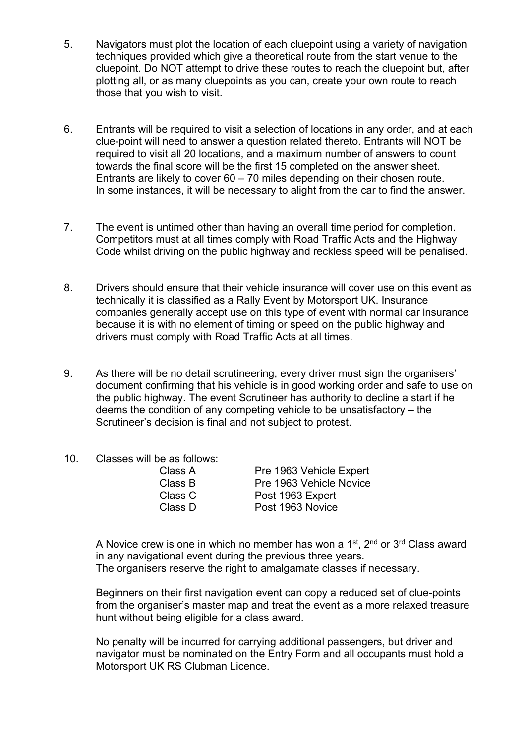- 5. Navigators must plot the location of each cluepoint using a variety of navigation techniques provided which give a theoretical route from the start venue to the cluepoint. Do NOT attempt to drive these routes to reach the cluepoint but, after plotting all, or as many cluepoints as you can, create your own route to reach those that you wish to visit.
- 6. Entrants will be required to visit a selection of locations in any order, and at each clue-point will need to answer a question related thereto. Entrants will NOT be required to visit all 20 locations, and a maximum number of answers to count towards the final score will be the first 15 completed on the answer sheet. Entrants are likely to cover 60 – 70 miles depending on their chosen route. In some instances, it will be necessary to alight from the car to find the answer.
- 7. The event is untimed other than having an overall time period for completion. Competitors must at all times comply with Road Traffic Acts and the Highway Code whilst driving on the public highway and reckless speed will be penalised.
- 8. Drivers should ensure that their vehicle insurance will cover use on this event as technically it is classified as a Rally Event by Motorsport UK. Insurance companies generally accept use on this type of event with normal car insurance because it is with no element of timing or speed on the public highway and drivers must comply with Road Traffic Acts at all times.
- 9. As there will be no detail scrutineering, every driver must sign the organisers' document confirming that his vehicle is in good working order and safe to use on the public highway. The event Scrutineer has authority to decline a start if he deems the condition of any competing vehicle to be unsatisfactory – the Scrutineer's decision is final and not subject to protest.
- 10. Classes will be as follows:

| Pre 1963 Vehicle Expert |
|-------------------------|
| Pre 1963 Vehicle Novice |
| Post 1963 Expert        |
| Post 1963 Novice        |
|                         |

A Novice crew is one in which no member has won a  $1<sup>st</sup>$ ,  $2<sup>nd</sup>$  or  $3<sup>rd</sup>$  Class award in any navigational event during the previous three years. The organisers reserve the right to amalgamate classes if necessary.

Beginners on their first navigation event can copy a reduced set of clue-points from the organiser's master map and treat the event as a more relaxed treasure hunt without being eligible for a class award.

No penalty will be incurred for carrying additional passengers, but driver and navigator must be nominated on the Entry Form and all occupants must hold a Motorsport UK RS Clubman Licence.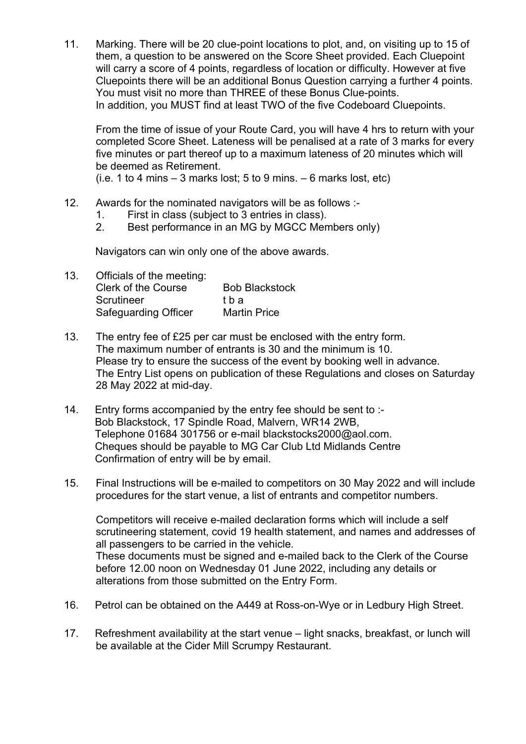11. Marking. There will be 20 clue-point locations to plot, and, on visiting up to 15 of them, a question to be answered on the Score Sheet provided. Each Cluepoint will carry a score of 4 points, regardless of location or difficulty. However at five Cluepoints there will be an additional Bonus Question carrying a further 4 points. You must visit no more than THREE of these Bonus Clue-points. In addition, you MUST find at least TWO of the five Codeboard Cluepoints.

From the time of issue of your Route Card, you will have 4 hrs to return with your completed Score Sheet. Lateness will be penalised at a rate of 3 marks for every five minutes or part thereof up to a maximum lateness of 20 minutes which will be deemed as Retirement.

(i.e. 1 to 4 mins  $-$  3 marks lost; 5 to 9 mins.  $-$  6 marks lost, etc)

- 12. Awards for the nominated navigators will be as follows :-
	- 1. First in class (subject to 3 entries in class).
	- 2. Best performance in an MG by MGCC Members only)

Navigators can win only one of the above awards.

| 13. | Officials of the meeting:   |                       |
|-----|-----------------------------|-----------------------|
|     | <b>Clerk of the Course</b>  | <b>Bob Blackstock</b> |
|     | Scrutineer                  | t b a                 |
|     | <b>Safeguarding Officer</b> | <b>Martin Price</b>   |

- 13. The entry fee of £25 per car must be enclosed with the entry form. The maximum number of entrants is 30 and the minimum is 10. Please try to ensure the success of the event by booking well in advance. The Entry List opens on publication of these Regulations and closes on Saturday 28 May 2022 at mid-day.
- 14. Entry forms accompanied by the entry fee should be sent to :- Bob Blackstock, 17 Spindle Road, Malvern, WR14 2WB, Telephone 01684 301756 or e-mail blackstocks2000@aol.com. Cheques should be payable to MG Car Club Ltd Midlands Centre Confirmation of entry will be by email.
- 15. Final Instructions will be e-mailed to competitors on 30 May 2022 and will include procedures for the start venue, a list of entrants and competitor numbers.

Competitors will receive e-mailed declaration forms which will include a self scrutineering statement, covid 19 health statement, and names and addresses of all passengers to be carried in the vehicle. These documents must be signed and e-mailed back to the Clerk of the Course before 12.00 noon on Wednesday 01 June 2022, including any details or alterations from those submitted on the Entry Form.

- 16. Petrol can be obtained on the A449 at Ross-on-Wye or in Ledbury High Street.
- 17. Refreshment availability at the start venue light snacks, breakfast, or lunch will be available at the Cider Mill Scrumpy Restaurant.